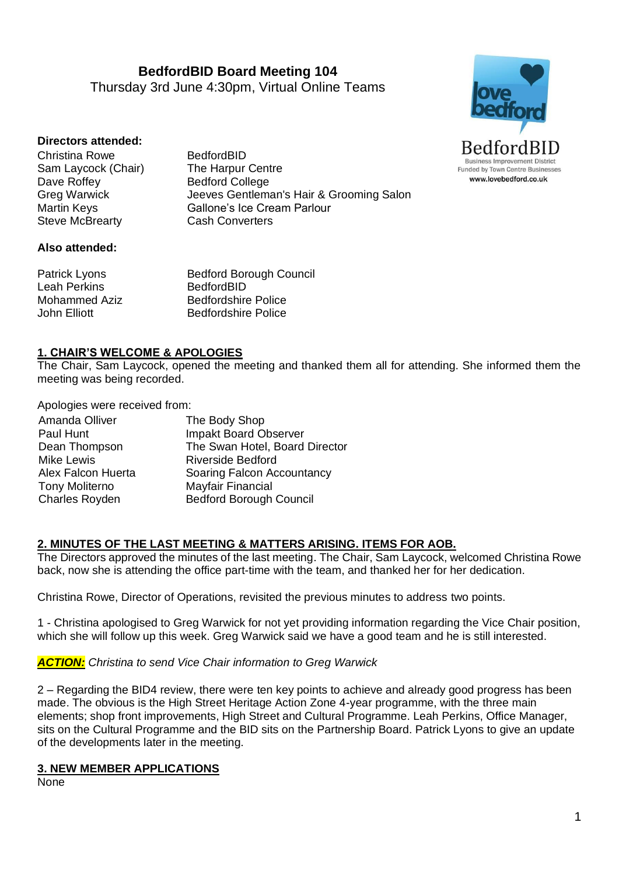**BedfordBID Board Meeting 104** Thursday 3rd June 4:30pm, Virtual Online Teams



## **Directors attended:**

Christina Rowe BedfordBID Sam Laycock (Chair) The Harpur Centre Dave Roffey Bedford College Steve McBrearty **Cash Converters** 

Greg Warwick Jeeves Gentleman's Hair & Grooming Salon Martin Keys Gallone's Ice Cream Parlour

#### **Also attended:**

Patrick Lyons Bedford Borough Council Leah Perkins **BedfordBID** Mohammed Aziz Bedfordshire Police John Elliott Bedfordshire Police

## **1. CHAIR'S WELCOME & APOLOGIES**

The Chair, Sam Laycock, opened the meeting and thanked them all for attending. She informed them the meeting was being recorded.

Apologies were received from:

| Amanda Olliver        | The Body Shop                  |
|-----------------------|--------------------------------|
| Paul Hunt             | Impakt Board Observer          |
| Dean Thompson         | The Swan Hotel, Board Director |
| <b>Mike Lewis</b>     | <b>Riverside Bedford</b>       |
| Alex Falcon Huerta    | Soaring Falcon Accountancy     |
| <b>Tony Moliterno</b> | Mayfair Financial              |
| <b>Charles Royden</b> | <b>Bedford Borough Council</b> |

## **2. MINUTES OF THE LAST MEETING & MATTERS ARISING. ITEMS FOR AOB.**

The Directors approved the minutes of the last meeting. The Chair, Sam Laycock, welcomed Christina Rowe back, now she is attending the office part-time with the team, and thanked her for her dedication.

Christina Rowe, Director of Operations, revisited the previous minutes to address two points.

1 - Christina apologised to Greg Warwick for not yet providing information regarding the Vice Chair position, which she will follow up this week. Greg Warwick said we have a good team and he is still interested.

*ACTION: Christina to send Vice Chair information to Greg Warwick*

2 – Regarding the BID4 review, there were ten key points to achieve and already good progress has been made. The obvious is the High Street Heritage Action Zone 4-year programme, with the three main elements; shop front improvements, High Street and Cultural Programme. Leah Perkins, Office Manager, sits on the Cultural Programme and the BID sits on the Partnership Board. Patrick Lyons to give an update of the developments later in the meeting.

#### **3. NEW MEMBER APPLICATIONS**

None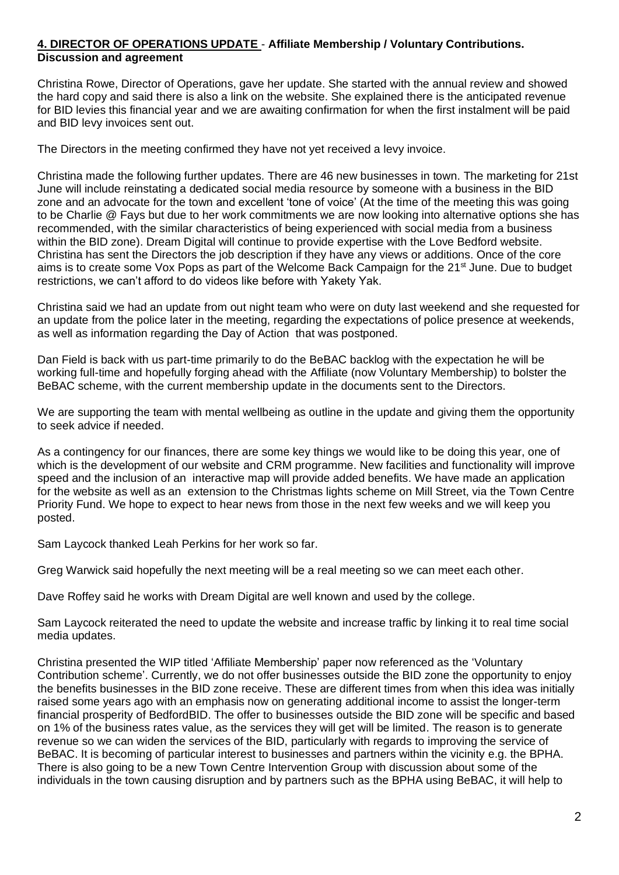## **4. DIRECTOR OF OPERATIONS UPDATE** - **Affiliate Membership / Voluntary Contributions. Discussion and agreement**

Christina Rowe, Director of Operations, gave her update. She started with the annual review and showed the hard copy and said there is also a link on the website. She explained there is the anticipated revenue for BID levies this financial year and we are awaiting confirmation for when the first instalment will be paid and BID levy invoices sent out.

The Directors in the meeting confirmed they have not yet received a levy invoice.

Christina made the following further updates. There are 46 new businesses in town. The marketing for 21st June will include reinstating a dedicated social media resource by someone with a business in the BID zone and an advocate for the town and excellent 'tone of voice' (At the time of the meeting this was going to be Charlie @ Fays but due to her work commitments we are now looking into alternative options she has recommended, with the similar characteristics of being experienced with social media from a business within the BID zone). Dream Digital will continue to provide expertise with the Love Bedford website. Christina has sent the Directors the job description if they have any views or additions. Once of the core aims is to create some Vox Pops as part of the Welcome Back Campaign for the 21<sup>st</sup> June. Due to budget restrictions, we can't afford to do videos like before with Yakety Yak.

Christina said we had an update from out night team who were on duty last weekend and she requested for an update from the police later in the meeting, regarding the expectations of police presence at weekends, as well as information regarding the Day of Action that was postponed.

Dan Field is back with us part-time primarily to do the BeBAC backlog with the expectation he will be working full-time and hopefully forging ahead with the Affiliate (now Voluntary Membership) to bolster the BeBAC scheme, with the current membership update in the documents sent to the Directors.

We are supporting the team with mental wellbeing as outline in the update and giving them the opportunity to seek advice if needed.

As a contingency for our finances, there are some key things we would like to be doing this year, one of which is the development of our website and CRM programme. New facilities and functionality will improve speed and the inclusion of an interactive map will provide added benefits. We have made an application for the website as well as an extension to the Christmas lights scheme on Mill Street, via the Town Centre Priority Fund. We hope to expect to hear news from those in the next few weeks and we will keep you posted.

Sam Laycock thanked Leah Perkins for her work so far.

Greg Warwick said hopefully the next meeting will be a real meeting so we can meet each other.

Dave Roffey said he works with Dream Digital are well known and used by the college.

Sam Laycock reiterated the need to update the website and increase traffic by linking it to real time social media updates.

Christina presented the WIP titled 'Affiliate Membership' paper now referenced as the 'Voluntary Contribution scheme'. Currently, we do not offer businesses outside the BID zone the opportunity to enjoy the benefits businesses in the BID zone receive. These are different times from when this idea was initially raised some years ago with an emphasis now on generating additional income to assist the longer-term financial prosperity of BedfordBID. The offer to businesses outside the BID zone will be specific and based on 1% of the business rates value, as the services they will get will be limited. The reason is to generate revenue so we can widen the services of the BID, particularly with regards to improving the service of BeBAC. It is becoming of particular interest to businesses and partners within the vicinity e.g. the BPHA. There is also going to be a new Town Centre Intervention Group with discussion about some of the individuals in the town causing disruption and by partners such as the BPHA using BeBAC, it will help to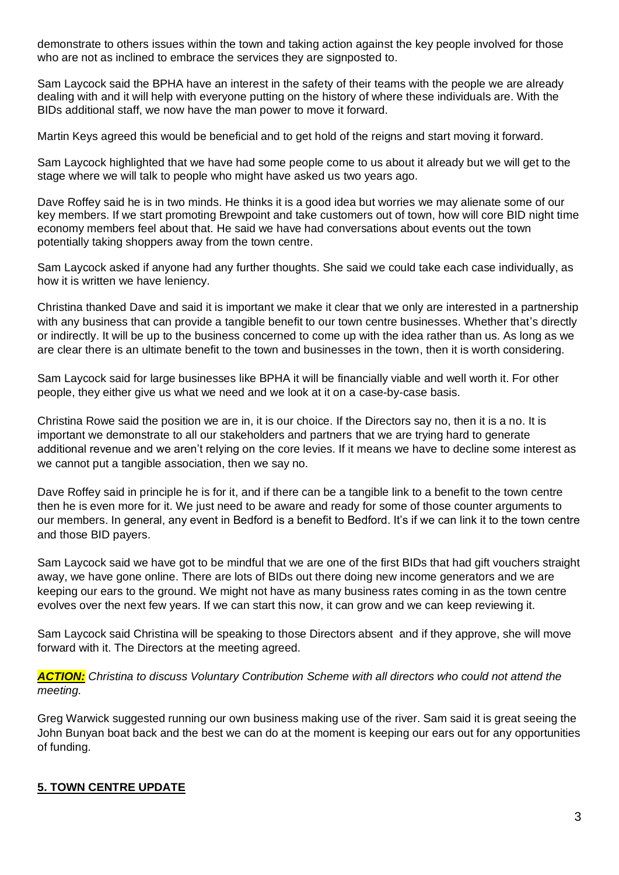demonstrate to others issues within the town and taking action against the key people involved for those who are not as inclined to embrace the services they are signposted to.

Sam Laycock said the BPHA have an interest in the safety of their teams with the people we are already dealing with and it will help with everyone putting on the history of where these individuals are. With the BIDs additional staff, we now have the man power to move it forward.

Martin Keys agreed this would be beneficial and to get hold of the reigns and start moving it forward.

Sam Laycock highlighted that we have had some people come to us about it already but we will get to the stage where we will talk to people who might have asked us two years ago.

Dave Roffey said he is in two minds. He thinks it is a good idea but worries we may alienate some of our key members. If we start promoting Brewpoint and take customers out of town, how will core BID night time economy members feel about that. He said we have had conversations about events out the town potentially taking shoppers away from the town centre.

Sam Laycock asked if anyone had any further thoughts. She said we could take each case individually, as how it is written we have leniency.

Christina thanked Dave and said it is important we make it clear that we only are interested in a partnership with any business that can provide a tangible benefit to our town centre businesses. Whether that's directly or indirectly. It will be up to the business concerned to come up with the idea rather than us. As long as we are clear there is an ultimate benefit to the town and businesses in the town, then it is worth considering.

Sam Laycock said for large businesses like BPHA it will be financially viable and well worth it. For other people, they either give us what we need and we look at it on a case-by-case basis.

Christina Rowe said the position we are in, it is our choice. If the Directors say no, then it is a no. It is important we demonstrate to all our stakeholders and partners that we are trying hard to generate additional revenue and we aren't relying on the core levies. If it means we have to decline some interest as we cannot put a tangible association, then we say no.

Dave Roffey said in principle he is for it, and if there can be a tangible link to a benefit to the town centre then he is even more for it. We just need to be aware and ready for some of those counter arguments to our members. In general, any event in Bedford is a benefit to Bedford. It's if we can link it to the town centre and those BID payers.

Sam Laycock said we have got to be mindful that we are one of the first BIDs that had gift vouchers straight away, we have gone online. There are lots of BIDs out there doing new income generators and we are keeping our ears to the ground. We might not have as many business rates coming in as the town centre evolves over the next few years. If we can start this now, it can grow and we can keep reviewing it.

Sam Laycock said Christina will be speaking to those Directors absent and if they approve, she will move forward with it. The Directors at the meeting agreed.

*ACTION: Christina to discuss Voluntary Contribution Scheme with all directors who could not attend the meeting.*

Greg Warwick suggested running our own business making use of the river. Sam said it is great seeing the John Bunyan boat back and the best we can do at the moment is keeping our ears out for any opportunities of funding.

# **5. TOWN CENTRE UPDATE**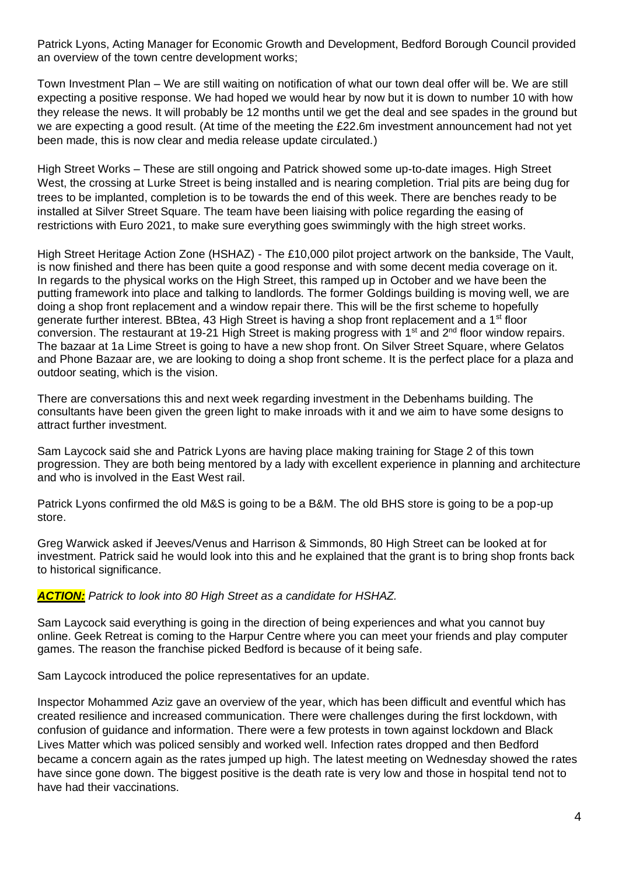Patrick Lyons, Acting Manager for Economic Growth and Development, Bedford Borough Council provided an overview of the town centre development works;

Town Investment Plan – We are still waiting on notification of what our town deal offer will be. We are still expecting a positive response. We had hoped we would hear by now but it is down to number 10 with how they release the news. It will probably be 12 months until we get the deal and see spades in the ground but we are expecting a good result. (At time of the meeting the £22.6m investment announcement had not yet been made, this is now clear and media release update circulated.)

High Street Works – These are still ongoing and Patrick showed some up-to-date images. High Street West, the crossing at Lurke Street is being installed and is nearing completion. Trial pits are being dug for trees to be implanted, completion is to be towards the end of this week. There are benches ready to be installed at Silver Street Square. The team have been liaising with police regarding the easing of restrictions with Euro 2021, to make sure everything goes swimmingly with the high street works.

High Street Heritage Action Zone (HSHAZ) - The £10,000 pilot project artwork on the bankside, The Vault, is now finished and there has been quite a good response and with some decent media coverage on it. In regards to the physical works on the High Street, this ramped up in October and we have been the putting framework into place and talking to landlords. The former Goldings building is moving well, we are doing a shop front replacement and a window repair there. This will be the first scheme to hopefully generate further interest. BBtea, 43 High Street is having a shop front replacement and a 1<sup>st</sup> floor conversion. The restaurant at 19-21 High Street is making progress with 1<sup>st</sup> and 2<sup>nd</sup> floor window repairs. The bazaar at 1a Lime Street is going to have a new shop front. On Silver Street Square, where Gelatos and Phone Bazaar are, we are looking to doing a shop front scheme. It is the perfect place for a plaza and outdoor seating, which is the vision.

There are conversations this and next week regarding investment in the Debenhams building. The consultants have been given the green light to make inroads with it and we aim to have some designs to attract further investment.

Sam Laycock said she and Patrick Lyons are having place making training for Stage 2 of this town progression. They are both being mentored by a lady with excellent experience in planning and architecture and who is involved in the East West rail.

Patrick Lyons confirmed the old M&S is going to be a B&M. The old BHS store is going to be a pop-up store.

Greg Warwick asked if Jeeves/Venus and Harrison & Simmonds, 80 High Street can be looked at for investment. Patrick said he would look into this and he explained that the grant is to bring shop fronts back to historical significance.

# *ACTION: Patrick to look into 80 High Street as a candidate for HSHAZ.*

Sam Laycock said everything is going in the direction of being experiences and what you cannot buy online. Geek Retreat is coming to the Harpur Centre where you can meet your friends and play computer games. The reason the franchise picked Bedford is because of it being safe.

Sam Laycock introduced the police representatives for an update.

Inspector Mohammed Aziz gave an overview of the year, which has been difficult and eventful which has created resilience and increased communication. There were challenges during the first lockdown, with confusion of guidance and information. There were a few protests in town against lockdown and Black Lives Matter which was policed sensibly and worked well. Infection rates dropped and then Bedford became a concern again as the rates jumped up high. The latest meeting on Wednesday showed the rates have since gone down. The biggest positive is the death rate is very low and those in hospital tend not to have had their vaccinations.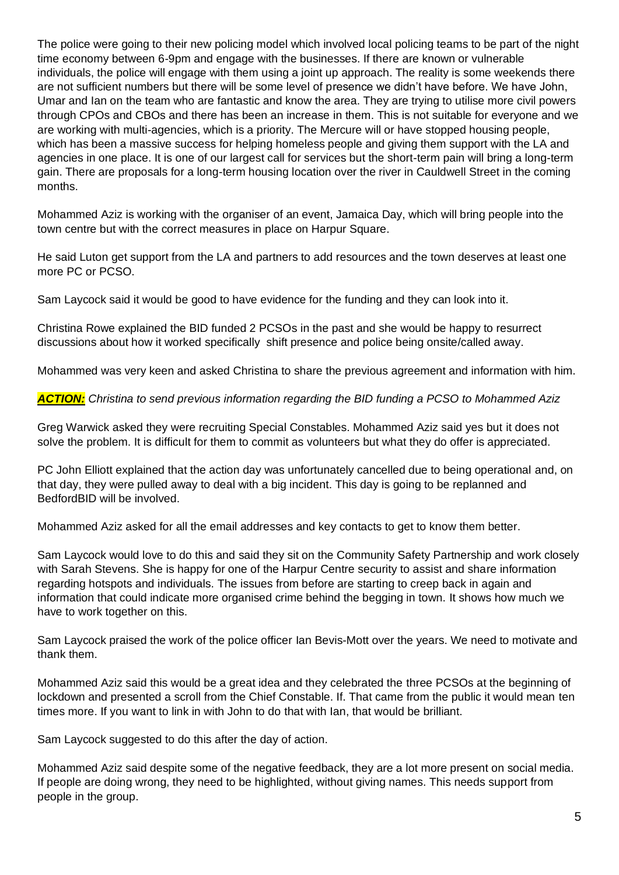The police were going to their new policing model which involved local policing teams to be part of the night time economy between 6-9pm and engage with the businesses. If there are known or vulnerable individuals, the police will engage with them using a joint up approach. The reality is some weekends there are not sufficient numbers but there will be some level of presence we didn't have before. We have John, Umar and Ian on the team who are fantastic and know the area. They are trying to utilise more civil powers through CPOs and CBOs and there has been an increase in them. This is not suitable for everyone and we are working with multi-agencies, which is a priority. The Mercure will or have stopped housing people, which has been a massive success for helping homeless people and giving them support with the LA and agencies in one place. It is one of our largest call for services but the short-term pain will bring a long-term gain. There are proposals for a long-term housing location over the river in Cauldwell Street in the coming months.

Mohammed Aziz is working with the organiser of an event, Jamaica Day, which will bring people into the town centre but with the correct measures in place on Harpur Square.

He said Luton get support from the LA and partners to add resources and the town deserves at least one more PC or PCSO.

Sam Laycock said it would be good to have evidence for the funding and they can look into it.

Christina Rowe explained the BID funded 2 PCSOs in the past and she would be happy to resurrect discussions about how it worked specifically shift presence and police being onsite/called away.

Mohammed was very keen and asked Christina to share the previous agreement and information with him.

*ACTION: Christina to send previous information regarding the BID funding a PCSO to Mohammed Aziz*

Greg Warwick asked they were recruiting Special Constables. Mohammed Aziz said yes but it does not solve the problem. It is difficult for them to commit as volunteers but what they do offer is appreciated.

PC John Elliott explained that the action day was unfortunately cancelled due to being operational and, on that day, they were pulled away to deal with a big incident. This day is going to be replanned and BedfordBID will be involved.

Mohammed Aziz asked for all the email addresses and key contacts to get to know them better.

Sam Laycock would love to do this and said they sit on the Community Safety Partnership and work closely with Sarah Stevens. She is happy for one of the Harpur Centre security to assist and share information regarding hotspots and individuals. The issues from before are starting to creep back in again and information that could indicate more organised crime behind the begging in town. It shows how much we have to work together on this.

Sam Laycock praised the work of the police officer Ian Bevis-Mott over the years. We need to motivate and thank them.

Mohammed Aziz said this would be a great idea and they celebrated the three PCSOs at the beginning of lockdown and presented a scroll from the Chief Constable. If. That came from the public it would mean ten times more. If you want to link in with John to do that with Ian, that would be brilliant.

Sam Laycock suggested to do this after the day of action.

Mohammed Aziz said despite some of the negative feedback, they are a lot more present on social media. If people are doing wrong, they need to be highlighted, without giving names. This needs support from people in the group.